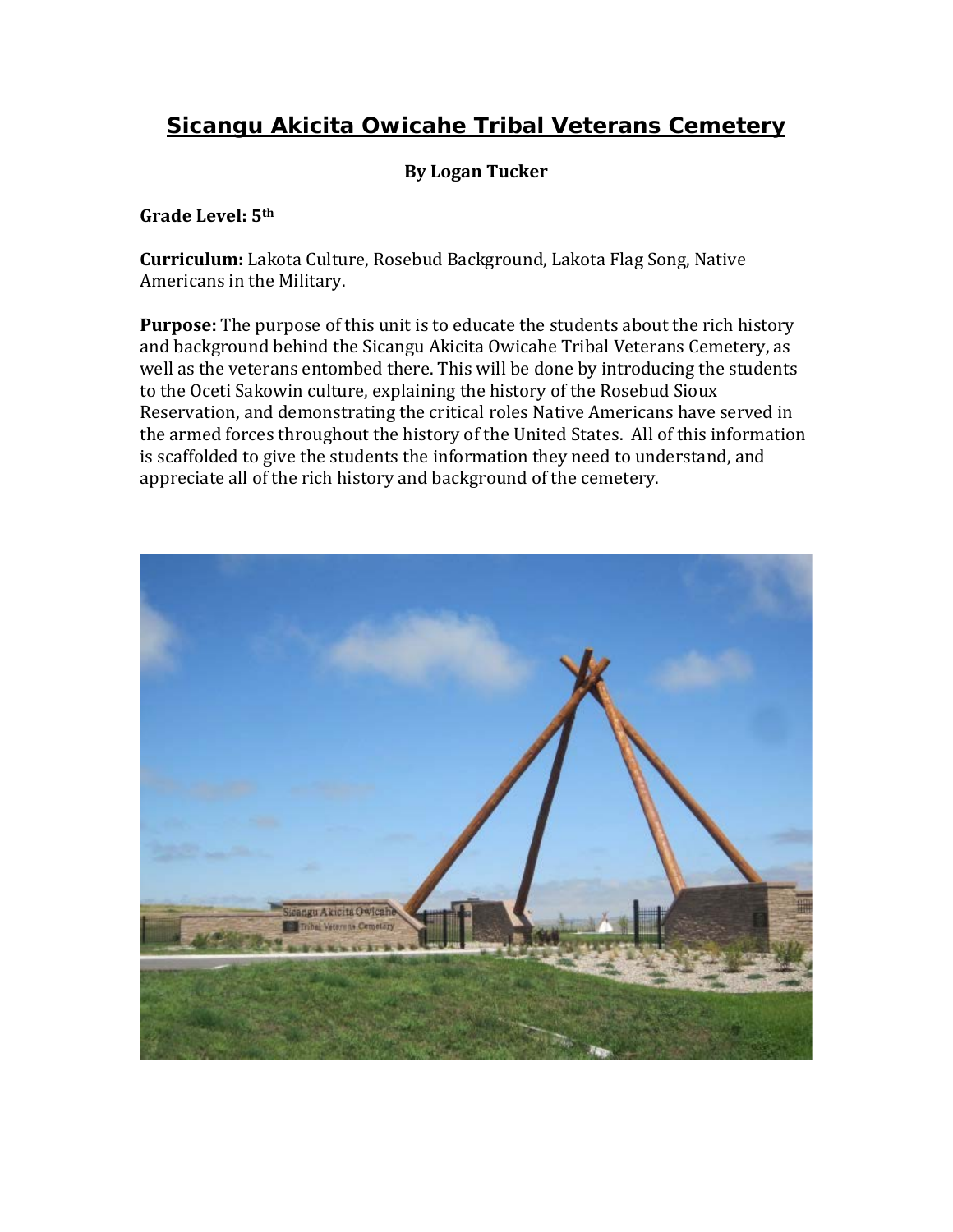# **Sicangu Akicita Owicahe Tribal Veterans Cemetery**

# **By Logan Tucker**

**Grade Level: 5th** 

**Curriculum:** Lakota Culture, Rosebud Background, Lakota Flag Song, Native Americans in the Military.

 appreciate all of the rich history and background of the cemetery. **Purpose:** The purpose of this unit is to educate the students about the rich history and background behind the Sicangu Akicita Owicahe Tribal Veterans Cemetery, as well as the veterans entombed there. This will be done by introducing the students to the Oceti Sakowin culture, explaining the history of the Rosebud Sioux Reservation, and demonstrating the critical roles Native Americans have served in the armed forces throughout the history of the United States. All of this information is scaffolded to give the students the information they need to understand, and

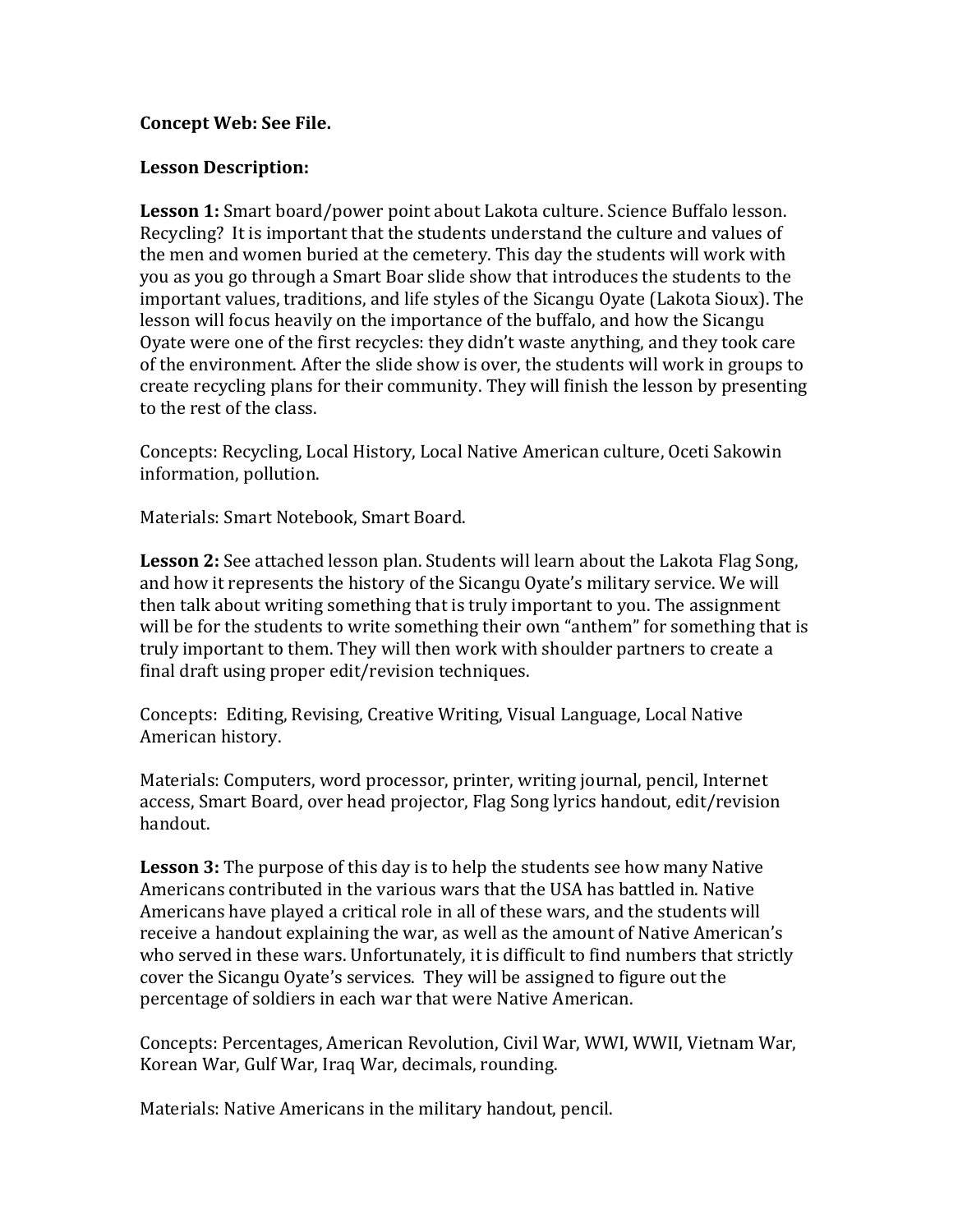#### **Concept Web: See File.**

#### **Lesson Description:**

 Recycling? It is important that the students understand the culture and values of the men and women buried at the cemetery. This day the students will work with **Lesson 1:** Smart board/power point about Lakota culture. Science Buffalo lesson. you as you go through a Smart Boar slide show that introduces the students to the important values, traditions, and life styles of the Sicangu Oyate (Lakota Sioux). The lesson will focus heavily on the importance of the buffalo, and how the Sicangu Oyate were one of the first recycles: they didn't waste anything, and they took care of the environment. After the slide show is over, the students will work in groups to create recycling plans for their community. They will finish the lesson by presenting to the rest of the class.

 Concepts: Recycling, Local History, Local Native American culture, Oceti Sakowin information, pollution.

Materials: Smart Notebook, Smart Board.

**Lesson 2:** See attached lesson plan. Students will learn about the Lakota Flag Song, and how it represents the history of the Sicangu Oyate's military service. We will then talk about writing something that is truly important to you. The assignment will be for the students to write something their own "anthem" for something that is truly important to them. They will then work with shoulder partners to create a final draft using proper edit/revision techniques.

Concepts: Editing, Revising, Creative Writing, Visual Language, Local Native American history.

 Materials: Computers, word processor, printer, writing journal, pencil, Internet access, Smart Board, over head projector, Flag Song lyrics handout, edit/revision handout.

 who served in these wars. Unfortunately, it is difficult to find numbers that strictly **Lesson 3:** The purpose of this day is to help the students see how many Native Americans contributed in the various wars that the USA has battled in. Native Americans have played a critical role in all of these wars, and the students will receive a handout explaining the war, as well as the amount of Native American's cover the Sicangu Oyate's services. They will be assigned to figure out the percentage of soldiers in each war that were Native American.

Concepts: Percentages, American Revolution, Civil War, WWI, WWII, Vietnam War, Korean War, Gulf War, Iraq War, decimals, rounding.

Materials: Native Americans in the military handout, pencil.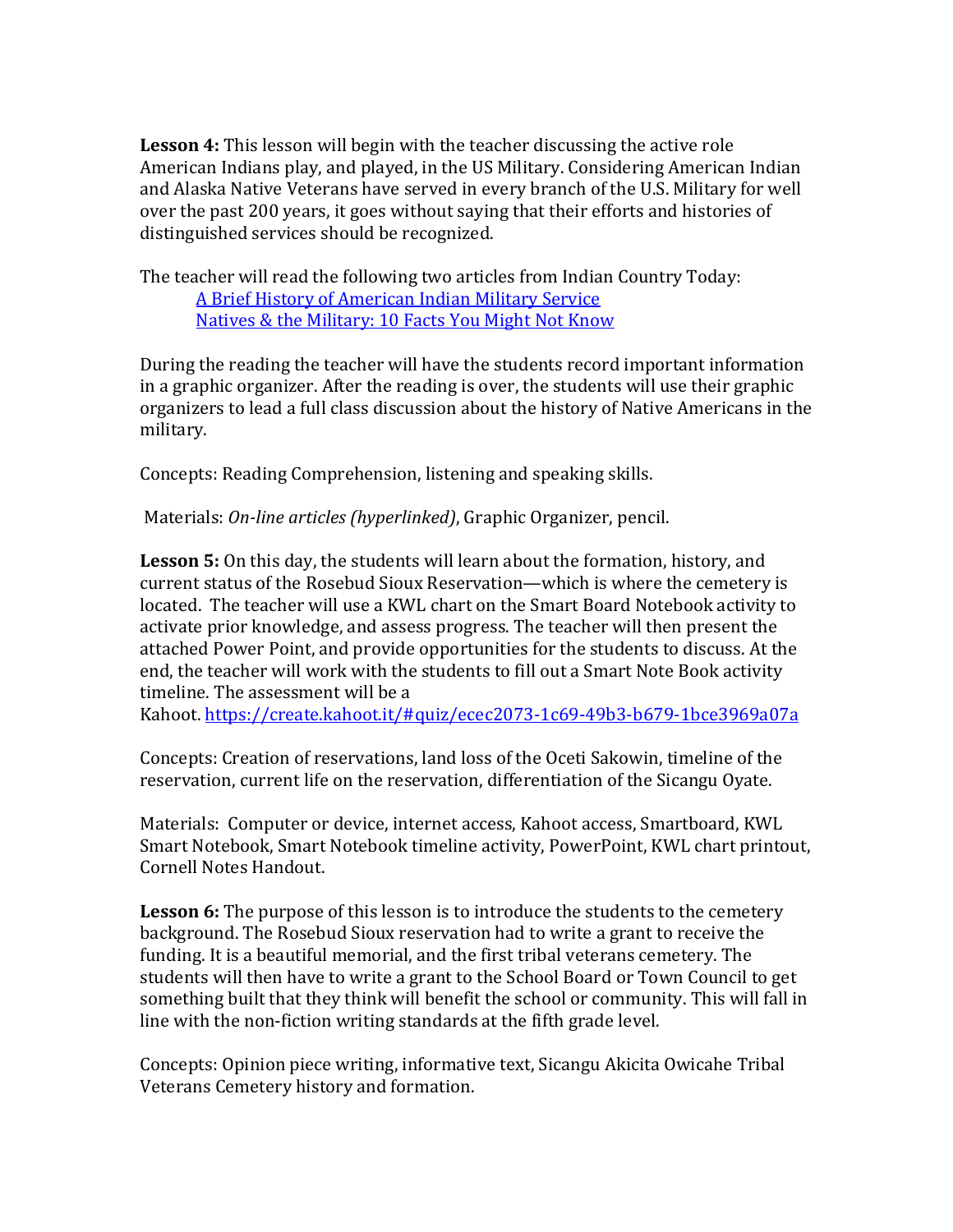American Indians play, and played, in the US Military. Considering American Indian **Lesson 4:** This lesson will begin with the teacher discussing the active role and Alaska Native Veterans have served in every branch of the U.S. Military for well over the past 200 years, it goes without saying that their efforts and histories of distinguished services should be recognized.

The teacher will read the following two articles from Indian Country Today: [A Brief History of American Indian Military Service](https://indiancountrymedianetwork.com/news/a-brief-history-of-american-indian-military-service/) [Natives & the Military: 10 Facts You Might Not Know](https://indiancountrymedianetwork.com/news/veterans/natives-the-military-10-facts-you-might-not-know/) 

During the reading the teacher will have the students record important information in a graphic organizer. After the reading is over, the students will use their graphic organizers to lead a full class discussion about the history of Native Americans in the military.

Concepts: Reading Comprehension, listening and speaking skills.

Materials: *On-line articles (hyperlinked)*, Graphic Organizer, pencil.

**Lesson 5:** On this day, the students will learn about the formation, history, and current status of the Rosebud Sioux Reservation—which is where the cemetery is located. The teacher will use a KWL chart on the Smart Board Notebook activity to activate prior knowledge, and assess progress. The teacher will then present the attached Power Point, and provide opportunities for the students to discuss. At the end, the teacher will work with the students to fill out a Smart Note Book activity timeline. The assessment will be a

Kahoot.<https://create.kahoot.it/#quiz/ecec2073-1c69-49b3-b679-1bce3969a07a>

Concepts: Creation of reservations, land loss of the Oceti Sakowin, timeline of the reservation, current life on the reservation, differentiation of the Sicangu Oyate.

 Materials: Computer or device, internet access, Kahoot access, Smartboard, KWL Smart Notebook, Smart Notebook timeline activity, PowerPoint, KWL chart printout, Cornell Notes Handout.

**Lesson 6:** The purpose of this lesson is to introduce the students to the cemetery background. The Rosebud Sioux reservation had to write a grant to receive the funding. It is a beautiful memorial, and the first tribal veterans cemetery. The students will then have to write a grant to the School Board or Town Council to get something built that they think will benefit the school or community. This will fall in line with the non-fiction writing standards at the fifth grade level.

Concepts: Opinion piece writing, informative text, Sicangu Akicita Owicahe Tribal Veterans Cemetery history and formation.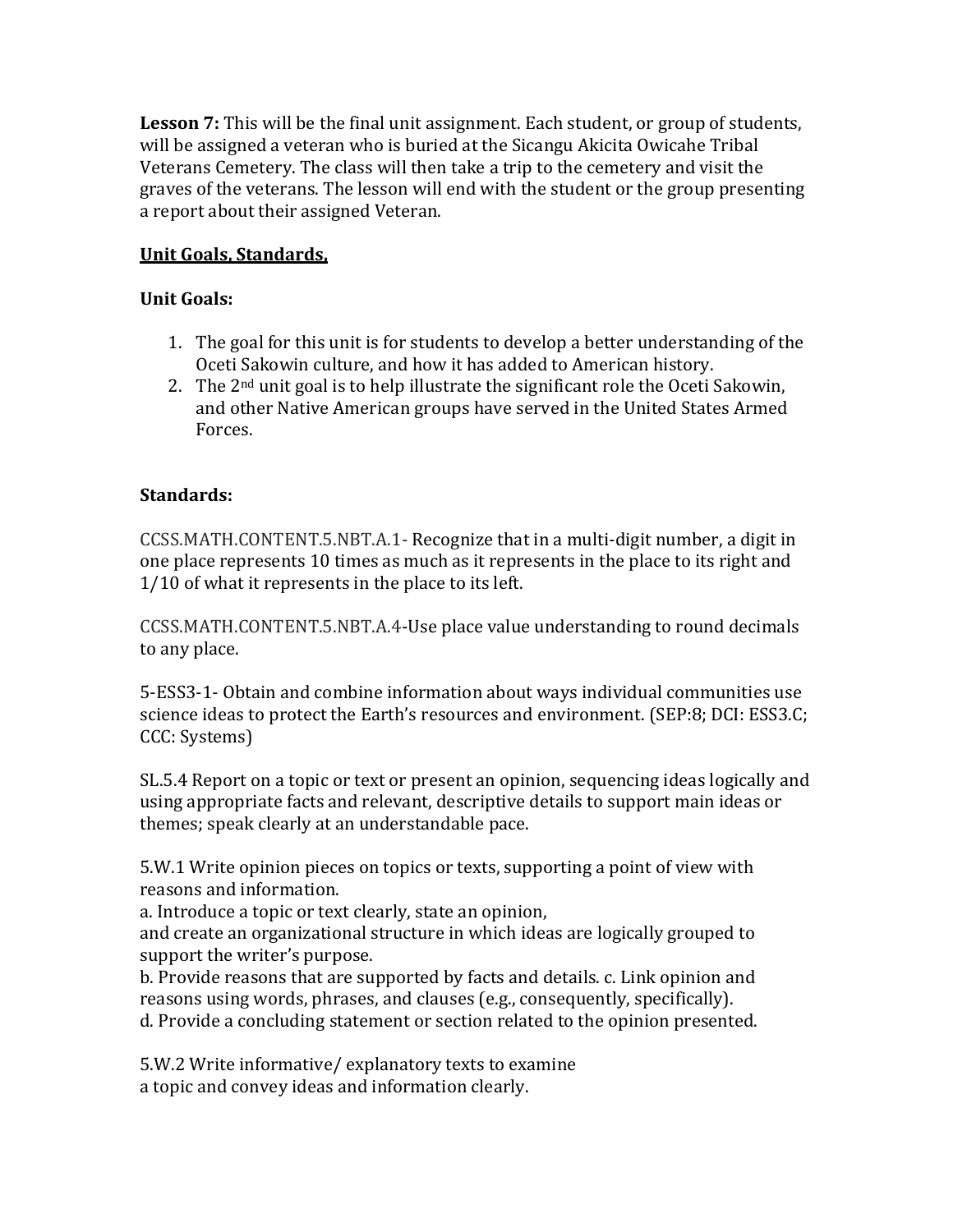**Lesson 7:** This will be the final unit assignment. Each student, or group of students, will be assigned a veteran who is buried at the Sicangu Akicita Owicahe Tribal Veterans Cemetery. The class will then take a trip to the cemetery and visit the graves of the veterans. The lesson will end with the student or the group presenting a report about their assigned Veteran.

# **Unit Goals, Standards,**

# **Unit Goals:**

- 1. The goal for this unit is for students to develop a better understanding of the Oceti Sakowin culture, and how it has added to American history.
- 2. The  $2<sup>nd</sup>$  unit goal is to help illustrate the significant role the Oceti Sakowin, and other Native American groups have served in the United States Armed Forces.

### **Standards:**

CCSS.MATH.CONTENT.5.NBT.A.1- Recognize that in a multi-digit number, a digit in one place represents 10 times as much as it represents in the place to its right and 1/10 of what it represents in the place to its left.

CCSS.MATH.CONTENT.5.NBT.A.4-Use place value understanding to round decimals to any place.

5-ESS3-1- Obtain and combine information about ways individual communities use science ideas to protect the Earth's resources and environment. (SEP:8; DCI: ESS3.C; CCC: Systems)

SL.5.4 Report on a topic or text or present an opinion, sequencing ideas logically and using appropriate facts and relevant, descriptive details to support main ideas or themes; speak clearly at an understandable pace.

5.W.1 Write opinion pieces on topics or texts, supporting a point of view with reasons and information.

a. Introduce a topic or text clearly, state an opinion,

and create an organizational structure in which ideas are logically grouped to support the writer's purpose.

b. Provide reasons that are supported by facts and details. c. Link opinion and reasons using words, phrases, and clauses (e.g., consequently, specifically). d. Provide a concluding statement or section related to the opinion presented.

5.W.2 Write informative/ explanatory texts to examine a topic and convey ideas and information clearly.